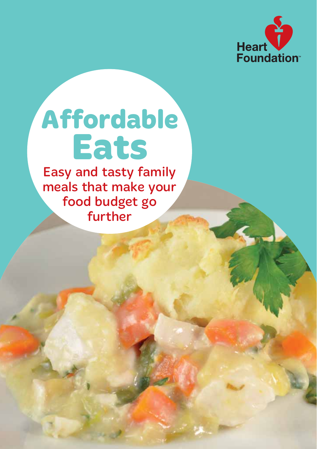

# **Affordable Eats**

Easy and tasty family meals that make your food budget go further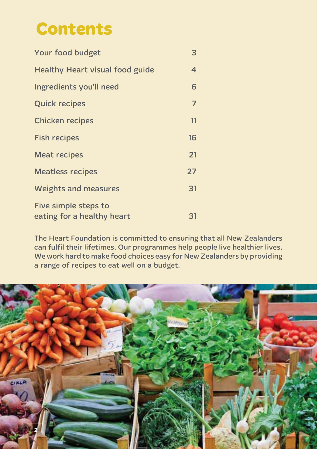### **Contents**

| Your food budget                                   | 3              |
|----------------------------------------------------|----------------|
| <b>Healthy Heart visual food guide</b>             | $\overline{4}$ |
| Ingredients you'll need                            | 6              |
| <b>Quick recipes</b>                               | $\overline{7}$ |
| <b>Chicken recipes</b>                             | $\mathbf{1}$   |
| <b>Fish recipes</b>                                | 16             |
| <b>Meat recipes</b>                                | 21             |
| <b>Meatless recipes</b>                            | 27             |
| <b>Weights and measures</b>                        | 31             |
| Five simple steps to<br>eating for a healthy heart | 31             |

The Heart Foundation is committed to ensuring that all New Zealanders can fulfil their lifetimes. Our programmes help people live healthier lives. We work hard to make food choices easy for New Zealanders by providing a range of recipes to eat well on a budget.

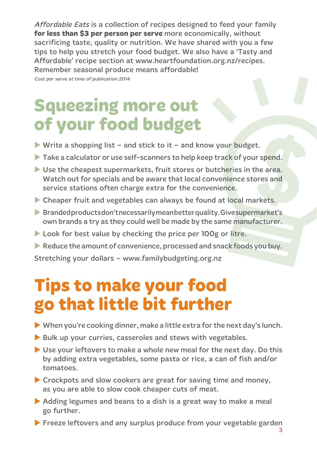Affordable Eats is a collection of recipes designed to feed your family **for less than \$3 per person per serve** more economically, without sacrificing taste, quality or nutrition. We have shared with you a few tips to help you stretch your food budget. We also have a 'Tasty and Affordable' recipe section at www.heartfoundation.org.nz/recipes. Remember seasonal produce means affordable!

Cost per serve at time of publication 2014

### **Squeezing more out of your food budget**

- $\triangleright$  Write a shopping list and stick to it and know your budget.
- $\triangleright$  Take a calculator or use self-scanners to help keep track of your spend.
- $\triangleright$  Use the cheapest supermarkets, fruit stores or butcheries in the area. Watch out for specials and be aware that local convenience stores and service stations often charge extra for the convenience.
- $\triangleright$  Cheaper fruit and vegetables can always be found at local markets.
- $\blacktriangleright$  Branded products don't necessarily mean better quality. Give supermarket's own brands a try as they could well be made by the same manufacturer.
- $\blacktriangleright$  Look for best value by checking the price per 100g or litre.
- $\triangleright$  Reduce the amount of convenience, processed and snack foods you buy.

Stretching your dollars – www.familybudgeting.org.nz

### **Tips to make your food go that little bit further**

- $\blacktriangleright$  When you're cooking dinner, make a little extra for the next day's lunch.
- $\blacktriangleright$  Bulk up your curries, casseroles and stews with vegetables.
- $\triangleright$  Use your leftovers to make a whole new meal for the next day. Do this by adding extra vegetables, some pasta or rice, a can of fish and/or tomatoes.
- $\triangleright$  Crockpots and slow cookers are great for saving time and money, as you are able to slow cook cheaper cuts of meat.
- $\triangleright$  Adding legumes and beans to a dish is a great way to make a meal go further.
- $\blacktriangleright$  Freeze leftovers and any surplus produce from your vegetable garden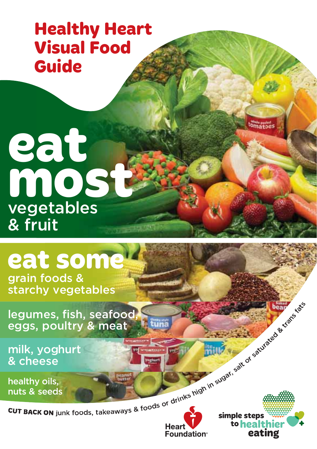### **Healthy Heart Visual Food Guide**

## **eat most** vegetables & fruit

# **eat some**

grain foods & starchy vegetables

**CUT BACK ON junk foods, takeaways & foods or drinks high in sugar, salt or saturated & transfatter or salt of saturated & transfatter or salt of saturated & transfatter or sugar, salt or salt or salt or salt of satural an** legumes, fish, seafood, eggs, poultry & meat

milk, yoghurt & cheese

healthy oils, nuts & seeds



tomatoes

**reduced fathers**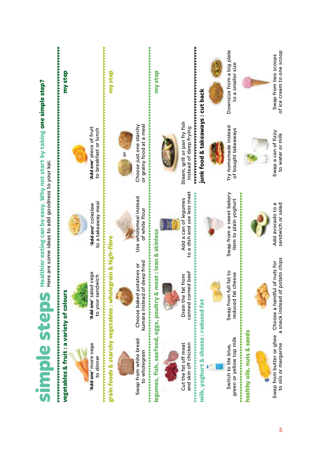|                                                               | Simple $\mathbf{SD}$ $\mathbf{C}$ $\mathbf{D}$ $\mathbf{S}$ $\mathbf{h}$ earliner earling can be easy. Why not start by taking one simple step? |                                                     |                                                        |                                                   |
|---------------------------------------------------------------|-------------------------------------------------------------------------------------------------------------------------------------------------|-----------------------------------------------------|--------------------------------------------------------|---------------------------------------------------|
| vegetables & fruit : a variety of colours                     |                                                                                                                                                 |                                                     |                                                        | my step                                           |
| Add one' more vege<br>to dinner                               | Add one' salad vege<br>to your sandwich                                                                                                         | to a takeaway meal<br>'Add one' coleslaw            | Add one' piece of fruit<br>to breakfast or lunch       |                                                   |
|                                                               | grain foods & starchy vegetables : wholegrain & high-fibre                                                                                      |                                                     | ,,,,,,,,,,,,,,,,,,,,,,                                 | my step                                           |
| Swap from white bread<br>o wholegrain                         | kumara instead of deep fried<br>Choose baked potatoes or                                                                                        | Use wholemeal instead<br>of white flour             | Choose just one starchy<br>or grainy food at a meal    |                                                   |
|                                                               | legumes, fish, seafood, eggs, poultry & meat : lean & skinless                                                                                  |                                                     |                                                        | my step                                           |
|                                                               |                                                                                                                                                 |                                                     |                                                        |                                                   |
| and skin off chicken<br>Cut the fat off meat                  | canned corned beef<br>Drain the fat from                                                                                                        | to a dish and use less meat<br>Add a can of legumes | Steam, grill or pan fry fish<br>instead of deep frying |                                                   |
| milk, yoghurt & cheese : reduced fat                          |                                                                                                                                                 |                                                     | junk food & takeaways : cut back                       |                                                   |
|                                                               |                                                                                                                                                 |                                                     |                                                        |                                                   |
| green or yellow top milk<br>Switch to lite blue,              | Swap from full fat to<br>reduced fat cheese                                                                                                     | Swap from a sweet bakery<br>item to plain yoghurt   | Try homemade instead<br>of bought takeaways            | Downsize from a big plate<br>to a smaller size    |
| <u>************************</u><br>healthy oils, nuts & seeds |                                                                                                                                                 | アンデンアンディング アイディアンディング アンディング アイディング アイディング アイディング   |                                                        |                                                   |
|                                                               |                                                                                                                                                 |                                                     |                                                        |                                                   |
| to oils or margarine                                          | a snack instead of potato chips<br>Swap from butter or ghee Choose a handful of nuts for                                                        | Add avocado to a<br>sandwich or salad               | Swap a can of fizzy<br>to water or milk                | of ice cream to one scoop<br>Swap from two scoops |

5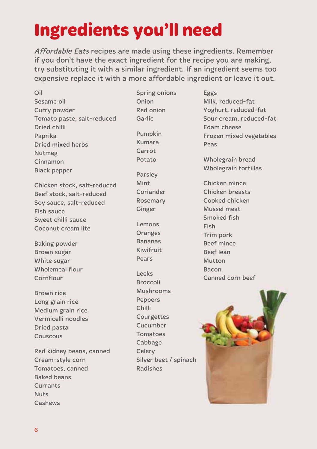### **Ingredients you'll need**

Affordable Eats recipes are made using these ingredients. Remember if you don't have the exact ingredient for the recipe you are making, try substituting it with a similar ingredient. If an ingredient seems too expensive replace it with a more affordable ingredient or leave it out.

Oil Sesame oil Curry powder Tomato paste, salt-reduced Dried chilli Paprika Dried mixed herbs Nutmeg Cinnamon Black pepper

Chicken stock, salt-reduced Beef stock, salt-reduced Soy sauce, salt-reduced Fish sauce Sweet chilli sauce Coconut cream lite

Baking powder Brown sugar White sugar Wholemeal flour Cornflour

Brown rice Long grain rice Medium grain rice Vermicelli noodles Dried pasta Couscous

Red kidney beans, canned Cream-style corn Tomatoes, canned Baked beans **Currants** Nuts Cashews

Spring onions Onion Red onion Garlic

Pumpkin Kumara **Carrot** Potato

Parsley Mint Coriander Rosemary Ginger

Lemons **Oranges** Bananas Kiwifruit Pears

Leeks Broccoli Mushrooms Peppers Chilli **Courgettes** Cucumber Tomatoes Cabbage **Celerv** Silver beet / spinach Radishes

Eggs Milk, reduced-fat Yoghurt, reduced-fat Sour cream, reduced-fat Edam cheese Frozen mixed vegetables Peas

Wholegrain bread Wholegrain tortillas

Chicken mince Chicken breasts Cooked chicken Mussel meat Smoked fish Fish Trim pork Beef mince Beef lean Mutton Bacon Canned corn beef

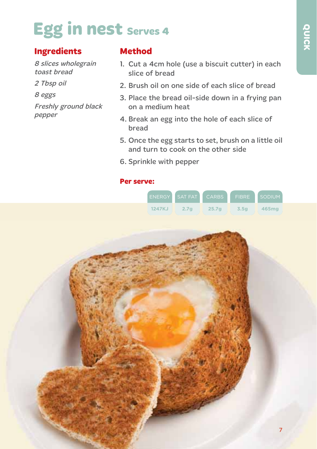### **Egg in nest serves 4**

#### **Ingredients**

8 slices wholegrain toast bread

2 Tbsp oil

8 eggs

Freshly ground black pepper

#### **Method**

- 1. Cut a 4cm hole (use a biscuit cutter) in each slice of bread
- 2. Brush oil on one side of each slice of bread
- 3. Place the bread oil-side down in a frying pan on a medium heat
- 4. Break an egg into the hole of each slice of bread
- 5. Once the egg starts to set, brush on a little oil and turn to cook on the other side
- 6. Sprinkle with pepper

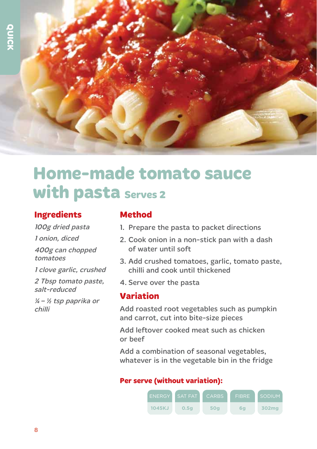

### **Home-made tomato sauce with pasta Serves 2**

#### **Ingredients**

100g dried pasta 1 onion, diced

400g can chopped tomatoes

1 clove garlic, crushed

2 Tbsp tomato paste, salt-reduced

¼ – ½ tsp paprika or chilli

#### **Method**

- 1. Prepare the pasta to packet directions
- 2. Cook onion in a non-stick pan with a dash of water until soft
- 3. Add crushed tomatoes, garlic, tomato paste, chilli and cook until thickened
- 4. Serve over the pasta

#### **Variation**

Add roasted root vegetables such as pumpkin and carrot, cut into bite-size pieces

Add leftover cooked meat such as chicken or beef

Add a combination of seasonal vegetables, whatever is in the vegetable bin in the fridge

#### **Per serve (without variation):**

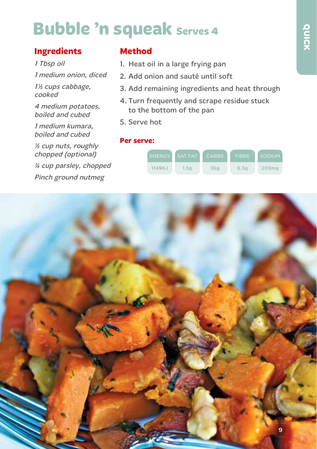### **Bubble 'n squeak serves 4**

#### **Ingredients**

1 Tbsp oil

1 medium onion, diced

1<sup>/2</sup> cups cabbage. cooked

4 medium potatoes, boiled and cubed

1 medium kumara, boiled and cubed

½ cup nuts, roughly chopped (optional) ¼ cup parsley, chopped Pinch ground nutmeg

#### **Method**

- 1. Heat oil in a large frying pan
- 2. Add onion and sauté until soft
- 3. Add remaining ingredients and heat through
- 4. Turn frequently and scrape residue stuck to the bottom of the pan
- 5. Serve hot



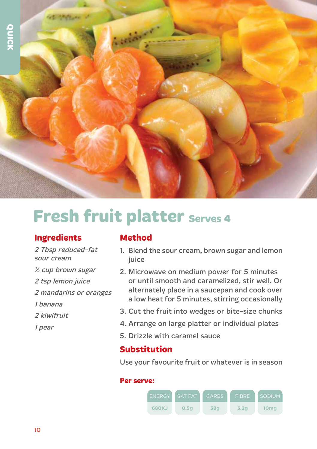

### **Fresh fruit platter Serves 4**

#### **Ingredients**

2 Tbsp reduced-fat sour cream

- ½ cup brown sugar
- 2 tsp lemon juice
- 2 mandarins or oranges
- 1 banana
- 2 kiwifruit
- 1 pear

#### **Method**

- 1. Blend the sour cream, brown sugar and lemon juice
- 2. Microwave on medium power for 5 minutes or until smooth and caramelized, stir well. Or alternately place in a saucepan and cook over a low heat for 5 minutes, stirring occasionally
- 3. Cut the fruit into wedges or bite-size chunks
- 4. Arrange on large platter or individual plates
- 5. Drizzle with caramel sauce

#### **Substitution**

Use your favourite fruit or whatever is in season

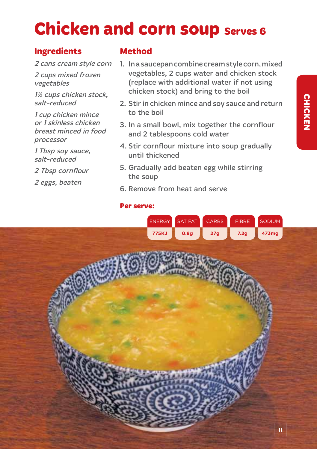## **Chicken and corn soup Serves 6**

#### **Ingredients**

2 cans cream style corn

2 cups mixed frozen vegetables

11/2 cups chicken stock, salt-reduced

1 cup chicken mince or 1 skinless chicken breast minced in food processor

1 Tbsp soy sauce, salt-reduced

2 Tbsp cornflour

2 eggs, beaten

#### **Method**

- 1. In a saucepan combine cream style corn, mixed vegetables, 2 cups water and chicken stock (replace with additional water if not using chicken stock) and bring to the boil
- 2. Stir in chicken mince and soy sauce and return to the boil
- 3. In a small bowl, mix together the cornflour and 2 tablespoons cold water
- 4. Stir cornflour mixture into soup gradually until thickened
- 5. Gradually add beaten egg while stirring the soup
- 6. Remove from heat and serve

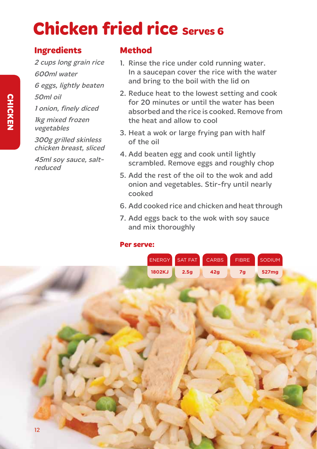### **Chicken fried rice Serves 6**

#### **Ingredients**

2 cups long grain rice 600ml water 6 eggs, lightly beaten 50ml oil 1 onion, finely diced 1kg mixed frozen vegetables 300g grilled skinless chicken breast, sliced

45ml soy sauce, saltreduced

#### **Method**

- 1. Rinse the rice under cold running water. In a saucepan cover the rice with the water and bring to the boil with the lid on
- 2. Reduce heat to the lowest setting and cook for 20 minutes or until the water has been absorbed and the rice is cooked. Remove from the heat and allow to cool
- 3. Heat a wok or large frying pan with half of the oil
- 4. Add beaten egg and cook until lightly scrambled. Remove eggs and roughly chop
- 5. Add the rest of the oil to the wok and add onion and vegetables. Stir-fry until nearly cooked
- 6. Add cooked rice and chicken and heat through
- 7. Add eggs back to the wok with soy sauce and mix thoroughly

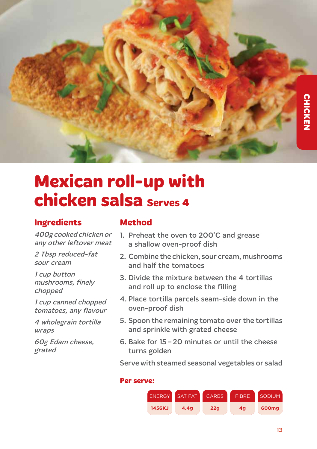

### **Mexican roll-up with chicken salsa Serves 4**

#### **Ingredients**

400g cooked chicken or any other leftover meat

2 Tbsp reduced-fat sour cream

1 cup button mushrooms, finely chopped

1 cup canned chopped tomatoes, any flavour

4 wholegrain tortilla wraps

60g Edam cheese, grated

#### **Method**

- 1. Preheat the oven to 200°C and grease a shallow oven-proof dish
- 2. Combine the chicken, sour cream, mushrooms and half the tomatoes
- 3. Divide the mixture between the 4 tortillas and roll up to enclose the filling
- 4. Place tortilla parcels seam-side down in the oven-proof dish
- 5. Spoon the remaining tomato over the tortillas and sprinkle with grated cheese
- 6. Bake for 15 20 minutes or until the cheese turns golden

Serve with steamed seasonal vegetables or salad

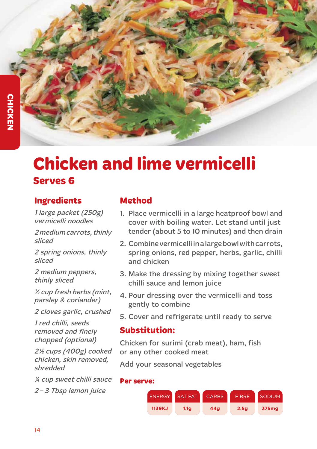### **Chicken and lime vermicelli Serves 6**

#### **Ingredients**

1 large packet (250g) vermicelli noodles

2 medium carrots, thinly sliced

2 spring onions, thinly sliced

2 medium peppers, thinly sliced

½ cup fresh herbs (mint, parsley & coriander)

2 cloves garlic, crushed

1 red chilli, seeds removed and finely chopped (optional)

2 ½ cups (400g) cooked chicken, skin removed, shredded

¼ cup sweet chilli sauce 2 – 3 Tbsp lemon juice

#### **Method**

- 1. Place vermicelli in a large heatproof bowl and cover with boiling water. Let stand until just tender (about 5 to 10 minutes) and then drain
- 2. Combine vermicelli in a large bowl with carrots, spring onions, red pepper, herbs, garlic, chilli and chicken
- 3. Make the dressing by mixing together sweet chilli sauce and lemon juice
- 4. Pour dressing over the vermicelli and toss gently to combine
- 5. Cover and refrigerate until ready to serve

#### **Substitution:**

Chicken for surimi (crab meat), ham, fish or any other cooked meat

Add your seasonal vegetables

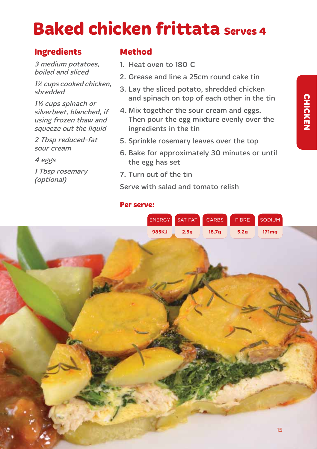### **Baked chicken frittata Serves 4**

#### **Ingredients**

3 medium potatoes, boiled and sliced

1<sup>1</sup>/<sub>2</sub> cups cooked chicken, shredded

1<sup>/2</sup> cups spinach or silverbeet, blanched, if using frozen thaw and squeeze out the liquid

2 Tbsp reduced-fat sour cream

4 eggs

1 Tbsp rosemary (optional)

#### **Method**

- 1. Heat oven to 180 C
- 2. Grease and line a 25cm round cake tin
- 3. Lay the sliced potato, shredded chicken and spinach on top of each other in the tin
- 4. Mix together the sour cream and eggs. Then pour the egg mixture evenly over the ingredients in the tin
- 5. Sprinkle rosemary leaves over the top
- 6. Bake for approximately 30 minutes or until the egg has set
- 7. Turn out of the tin

Serve with salad and tomato relish

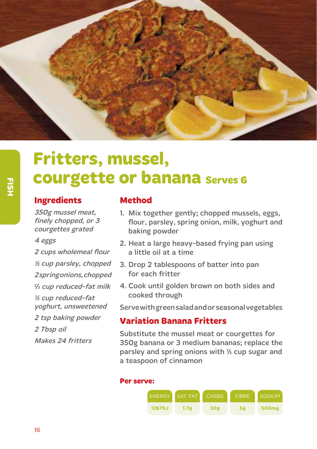

## **Fritters, mussel,<br>courgette or ban:<br>Ingredients Method courgette or banana Serves 6**

#### **Ingredients**

350g mussel meat, finely chopped, or 3 courgettes grated

#### 4 eggs

2 cups wholemeal flour ½ cup parsley, chopped 2 spring onions, chopped  $\frac{2}{3}$  cup reduced-fat milk ½ cup reduced-fat yoghurt, unsweetened 2 tsp baking powder 2 Tbsp oil Makes 24 fritters

#### **Method**

- 1. Mix together gently; chopped mussels, eggs, flour, parsley, spring onion, milk, yoghurt and baking powder
- 2. Heat a large heavy-based frying pan using a little oil at a time
- 3. Drop 2 tablespoons of batter into pan for each fritter
- 4. Cook until golden brown on both sides and cooked through

Serve with green salad and or seasonal vegetables

#### **Variation Banana Fritters**

Substitute the mussel meat or courgettes for 350g banana or 3 medium bananas; replace the parsley and spring onions with ½ cup sugar and a teaspoon of cinnamon

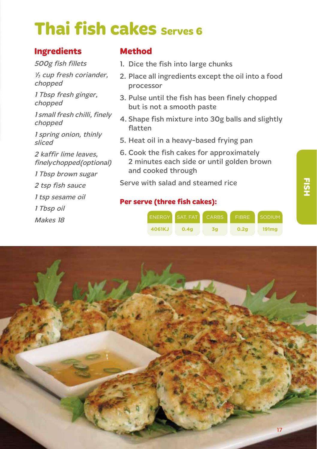### **Thai fish cakes serves 6**

#### **Ingredients**

500g fish fillets

 $\frac{1}{3}$  cup fresh coriander, chopped

1 Tbsp fresh ginger, chopped

1 small fresh chilli, finely chopped

1 spring onion, thinly sliced

2 kaffir lime leaves, finely chopped (optional)

1 Tbsp brown sugar

2 tsp fish sauce

1 tsp sesame oil

- 1 Tbsp oil
- Makes 18

#### **Method**

- 1. Dice the fish into large chunks
- 2. Place all ingredients except the oil into a food processor
- 3. Pulse until the fish has been finely chopped but is not a smooth paste
- 4. Shape fish mixture into 30g balls and slightly flatten
- 5. Heat oil in a heavy-based frying pan
- 6. Cook the fish cakes for approximately 2 minutes each side or until golden brown and cooked through

Serve with salad and steamed rice

#### **Per serve (three fish cakes):**



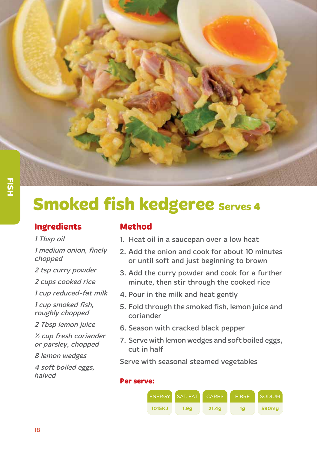

### **Smoked fish kedgeree Serves 4**

#### **Ingredients**

1 Tbsp oil

#### 1 medium onion, finely chopped

2 tsp curry powder

2 cups cooked rice

- 1 cup reduced-fat milk
- 1 cup smoked fish, roughly chopped
- 2 Tbsp lemon juice
- ½ cup fresh coriander or parsley, chopped
- 8 lemon wedges

4 soft boiled eggs, halved

#### **Method**

- 1. Heat oil in a saucepan over a low heat
- 2. Add the onion and cook for about 10 minutes or until soft and just beginning to brown
- 3. Add the curry powder and cook for a further minute, then stir through the cooked rice
- 4. Pour in the milk and heat gently
- 5. Fold through the smoked fish, lemon juice and coriander
- 6. Season with cracked black pepper
- 7. Serve with lemon wedges and soft boiled eggs, cut in half

Serve with seasonal steamed vegetables

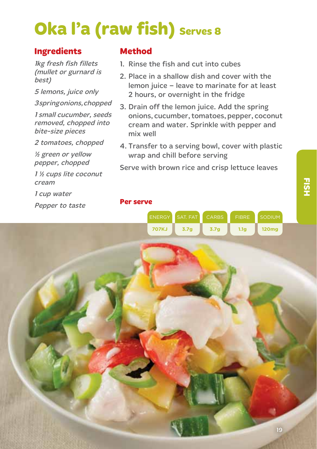## **Oka l'a (raw fish)** Serves 8

#### **Ingredients**

1kg fresh fish fillets (mullet or gurnard is best)

5 lemons, juice only

3 spring onions, chopped

1 small cucumber, seeds removed, chopped into bite-size pieces

2 tomatoes, chopped

½ green or yellow pepper, chopped

1 ½ cups lite coconut cream

1 cup water

Pepper to taste

#### **Method**

**Per serve**

- 1. Rinse the fish and cut into cubes
- 2. Place in a shallow dish and cover with the lemon juice – leave to marinate for at least 2 hours, or overnight in the fridge
- 3. Drain off the lemon juice. Add the spring onions, cucumber, tomatoes, pepper, coconut cream and water. Sprinkle with pepper and mix well
- 4. Transfer to a serving bowl, cover with plastic wrap and chill before serving

Serve with brown rice and crisp lettuce leaves

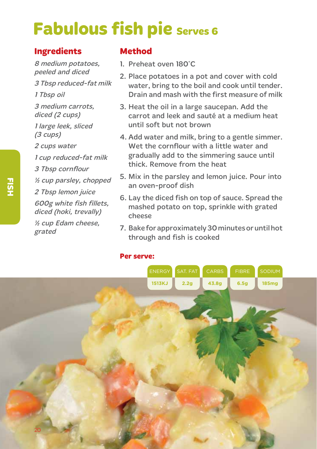### **Fabulous fish pie Serves 6**

#### **Ingredients**

8 medium potatoes, peeled and diced 3 Tbsp reduced-fat milk 1 Tbsp oil 3 medium carrots, diced (2 cups) 1 large leek, sliced (3 cups) 2 cups water 1 cup reduced-fat milk 3 Tbsp cornflour ½ cup parsley, chopped 2 Tbsp lemon juice 600g white fish fillets, diced (hoki, trevally) ½ cup Edam cheese, grated

#### **Method**

- 1. Preheat oven 180°C
- 2. Place potatoes in a pot and cover with cold water, bring to the boil and cook until tender. Drain and mash with the first measure of milk
- 3. Heat the oil in a large saucepan. Add the carrot and leek and sauté at a medium heat until soft but not brown
- 4. Add water and milk, bring to a gentle simmer. Wet the cornflour with a little water and gradually add to the simmering sauce until thick. Remove from the heat
- 5. Mix in the parsley and lemon juice. Pour into an oven-proof dish
- 6. Lay the diced fish on top of sauce. Spread the mashed potato on top, sprinkle with grated cheese
- 7. Bake for approximately 30 minutes or until hot through and fish is cooked

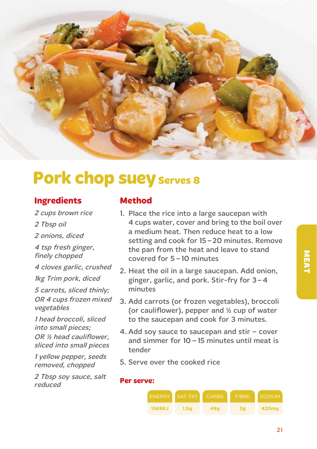

### **Pork chop suey Serves 8**

#### **Ingredients**

- 2 cups brown rice
- 2 Tbsp oil
- 2 onions, diced
- 4 tsp fresh ginger, finely chopped
- 4 cloves garlic, crushed
- 1kg Trim pork, diced
- 5 carrots, sliced thinly; OR 4 cups frozen mixed vegetables
- 1 head broccoli, sliced into small pieces; OR ½ head cauliflower, sliced into small pieces
- 1 yellow pepper, seeds removed, chopped
- 2 Tbsp soy sauce, salt reduced

#### **Method**

- 1. Place the rice into a large saucepan with 4 cups water, cover and bring to the boil over a medium heat. Then reduce heat to a low setting and cook for 15 – 20 minutes. Remove the pan from the heat and leave to stand covered for 5 – 10 minutes
- 2. Heat the oil in a large saucepan. Add onion, ginger, garlic, and pork. Stir-fry for 3–4 minutes
- 3. Add carrots (or frozen vegetables), broccoli (or cauliflower), pepper and ½ cup of water to the saucepan and cook for 3 minutes.
- 4. Add soy sauce to saucepan and stir cover and simmer for 10 – 15 minutes until meat is tender
- 5. Serve over the cooked rice

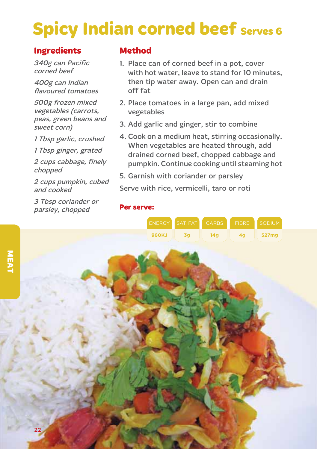### **Spicy Indian corned beef Serves 6**

#### **Ingredients**

340g can Pacific corned beef

400g can Indian flavoured tomatoes

500g frozen mixed vegetables (carrots, peas, green beans and sweet corn)

1 Tbsp garlic, crushed

1 Tbsp ginger, grated

2 cups cabbage, finely chopped

2 cups pumpkin, cubed and cooked

3 Tbsp coriander or parsley, chopped

#### **Method**

- 1. Place can of corned beef in a pot, cover with hot water, leave to stand for 10 minutes, then tip water away. Open can and drain off fat
- 2. Place tomatoes in a large pan, add mixed vegetables
- 3. Add garlic and ginger, stir to combine
- 4. Cook on a medium heat, stirring occasionally. When vegetables are heated through, add drained corned beef, chopped cabbage and pumpkin. Continue cooking until steaming hot
- 5. Garnish with coriander or parsley

Serve with rice, vermicelli, taro or roti

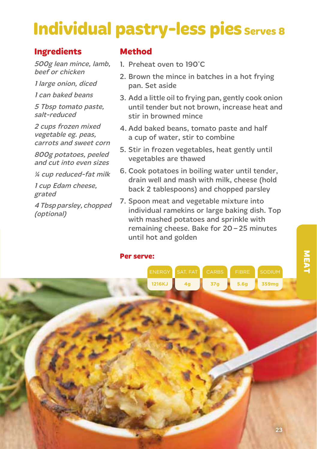### **Individual pastry-less pies serves 8**

#### **Ingredients**

500g lean mince, lamb, beef or chicken

1 large onion, diced

1 can baked beans

5 Tbsp tomato paste, salt-reduced

2 cups frozen mixed vegetable eg. peas, carrots and sweet corn

800g potatoes, peeled and cut into even sizes

¼ cup reduced-fat milk

1 cup Edam cheese, grated

4 Tbsp parsley, chopped (optional)

#### **Method**

- 1. Preheat oven to 190°C
- 2. Brown the mince in batches in a hot frying pan. Set aside
- 3. Add a little oil to frying pan, gently cook onion until tender but not brown, increase heat and stir in browned mince
- 4. Add baked beans, tomato paste and half a cup of water, stir to combine
- 5. Stir in frozen vegetables, heat gently until vegetables are thawed
- 6. Cook potatoes in boiling water until tender, drain well and mash with milk, cheese (hold back 2 tablespoons) and chopped parsley
- 7. Spoon meat and vegetable mixture into individual ramekins or large baking dish. Top with mashed potatoes and sprinkle with remaining cheese. Bake for 20 – 25 minutes until hot and golden

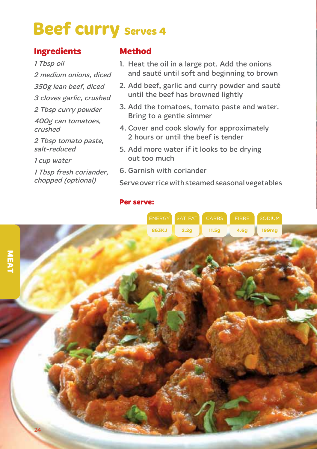### **Beef curry Serves 4**

#### **Ingredients**

1 Tbsp oil

- 2 medium onions, diced
- 350g lean beef, diced
- 3 cloves garlic, crushed
- 2 Tbsp curry powder
- 400g can tomatoes, crushed

2 Tbsp tomato paste, salt-reduced

1 cup water

1 Tbsp fresh coriander, chopped (optional)

#### **Method**

- 1. Heat the oil in a large pot. Add the onions and sauté until soft and beginning to brown
- 2. Add beef, garlic and curry powder and sauté until the beef has browned lightly
- 3. Add the tomatoes, tomato paste and water. Bring to a gentle simmer
- 4. Cover and cook slowly for approximately 2 hours or until the beef is tender
- 5. Add more water if it looks to be drying out too much
- 6. Garnish with coriander

Serve over rice with steamed seasonal vegetables

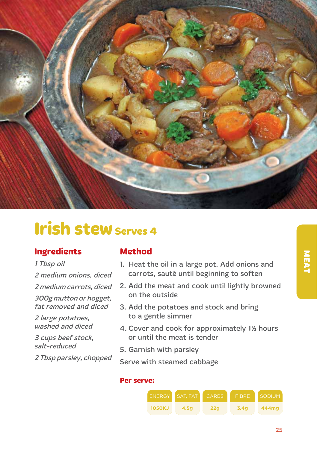

### **Irish stew Serves 4**

#### **Ingredients**

#### 1 Tbsp oil

2 medium onions, diced

2 medium carrots, diced

300g mutton or hogget, fat removed and diced

2 large potatoes, washed and diced

3 cups beef stock, salt-reduced

2 Tbsp parsley, chopped

#### **Method**

- 1. Heat the oil in a large pot. Add onions and carrots, sauté until beginning to soften
- 2. Add the meat and cook until lightly browned on the outside
- 3. Add the potatoes and stock and bring to a gentle simmer
- 4. Cover and cook for approximately 11/2 hours or until the meat is tender
- 5. Garnish with parsley

Serve with steamed cabbage

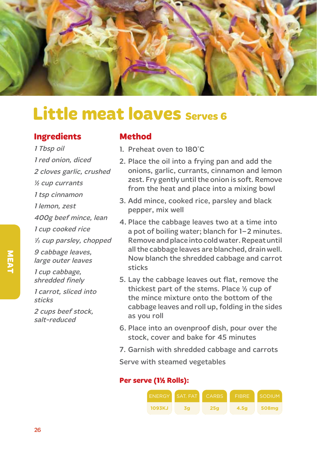

### **Little meat loaves serves 6**

#### **Ingredients**

1 Tbsp oil 1 red onion, diced 2 cloves garlic, crushed ½ cup currants 1 tsp cinnamon 1 lemon, zest 400g beef mince, lean 1 cup cooked rice 1/3 cup parsley, chopped 9 cabbage leaves, large outer leaves 1 cup cabbage, shredded finely 1 carrot, sliced into sticks 2 cups beef stock, salt-reduced

#### **Method**

- 1. Preheat oven to 180°C
- 2. Place the oil into a frying pan and add the onions, garlic, currants, cinnamon and lemon zest. Fry gently until the onion is soft. Remove from the heat and place into a mixing bowl
- 3. Add mince, cooked rice, parsley and black pepper, mix well
- 4. Place the cabbage leaves two at a time into a pot of boiling water; blanch for 1-2 minutes. Remove and place into cold water. Repeat until all the cabbage leaves are blanched, drain well. Now blanch the shredded cabbage and carrot sticks
- 5. Lay the cabbage leaves out flat, remove the thickest part of the stems. Place ½ cup of the mince mixture onto the bottom of the cabbage leaves and roll up, folding in the sides as you roll
- 6. Place into an ovenproof dish, pour over the stock, cover and bake for 45 minutes
- 7. Garnish with shredded cabbage and carrots

Serve with steamed vegetables

#### **Per serve (1% Rolls):**

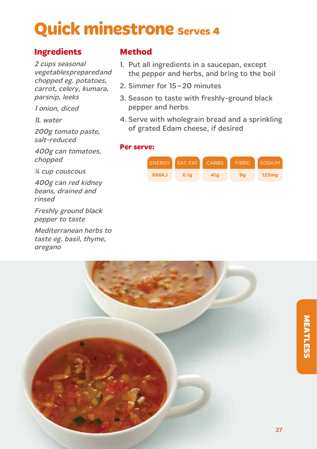### **Quick minestrone serves 4**

#### **Ingredients**

2 cups seasonal vegetables prepared and chopped eg. potatoes, carrot, celery, kumara, parsnip, leeks

1 onion, diced

1L water

200g tomato paste, salt-reduced

400g can tomatoes, chopped

¼ cup couscous

400g can red kidney beans, drained and rinsed

Freshly ground black pepper to taste

Mediterranean herbs to taste eg. basil, thyme, oregano

#### **Method**

- 1. Put all ingredients in a saucepan, except the pepper and herbs, and bring to the boil
- 2. Simmer for 15-20 minutes
- 3. Season to taste with freshly-ground black pepper and herbs
- 4. Serve with wholegrain bread and a sprinkling of grated Edam cheese, if desired



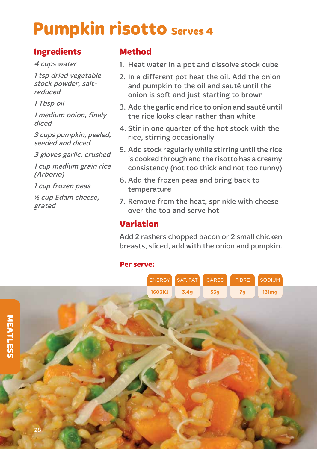### **Pumpkin risotto Serves 4**

#### **Ingredients**

4 cups water

1 tsp dried vegetable stock powder, saltreduced

1 Tbsp oil

1 medium onion, finely diced

3 cups pumpkin, peeled, seeded and diced

3 gloves garlic, crushed

1 cup medium grain rice (Arborio)

1 cup frozen peas

½ cup Edam cheese, grated

#### **Method**

- 1. Heat water in a pot and dissolve stock cube
- 2. In a different pot heat the oil. Add the onion and pumpkin to the oil and sauté until the onion is soft and just starting to brown
- 3. Add the garlic and rice to onion and sauté until the rice looks clear rather than white
- 4. Stir in one quarter of the hot stock with the rice, stirring occasionally
- 5. Add stock regularly while stirring until the rice is cooked through and the risotto has a creamy consistency (not too thick and not too runny)
- 6. Add the frozen peas and bring back to temperature
- 7. Remove from the heat, sprinkle with cheese over the top and serve hot

#### **Variation**

Add 2 rashers chopped bacon or 2 small chicken breasts, sliced, add with the onion and pumpkin.

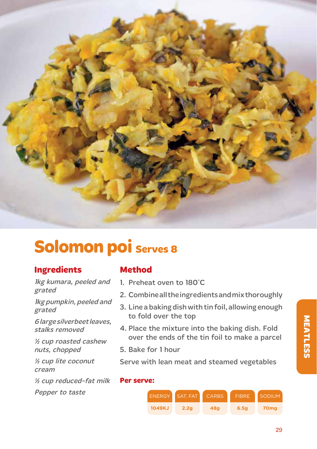

### **Solomon poi Serves 8**

#### **Ingredients**

1kg kumara, peeled and grated

1kg pumpkin, peeled and grated

6 large silverbeet leaves, stalks removed

½ cup roasted cashew nuts, chopped

½ cup lite coconut cream

½ cup reduced-fat milk

Pepper to taste ENERGY

#### **Method**

- 1. Preheat oven to 180°C
- 2. Combine all the ingredients and mix thoroughly
- 3. Line a baking dish with tin foil, allowing enough to fold over the top
- 4. Place the mixture into the baking dish. Fold over the ends of the tin foil to make a parcel
- 5. Bake for 1 hour

Serve with lean meat and steamed vegetables

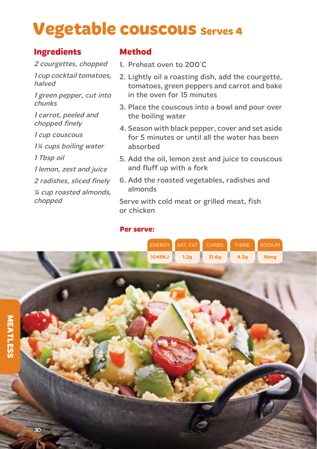### **Vegetable couscous Serves 4**

#### **Ingredients**

2 courgettes, chopped

1 cup cocktail tomatoes, halved

1 green pepper, cut into chunks

1 carrot, peeled and chopped finely

1 cup couscous

1<sup>%</sup> cups boiling water

1 Tbsp oil

1 lemon, zest and juice

2 radishes, sliced finely

¼ cup roasted almonds, chopped

#### **Method**

- 1. Preheat oven to 200°C
- 2. Lightly oil a roasting dish, add the courgette, tomatoes, green peppers and carrot and bake in the oven for 15 minutes
- 3. Place the couscous into a bowl and pour over the boiling water
- 4. Season with black pepper, cover and set aside for 5 minutes or until all the water has been absorbed
- 5. Add the oil, lemon zest and juice to couscous and fluff up with a fork
- 6. Add the roasted vegetables, radishes and almonds

Serve with cold meat or grilled meat, fish or chicken

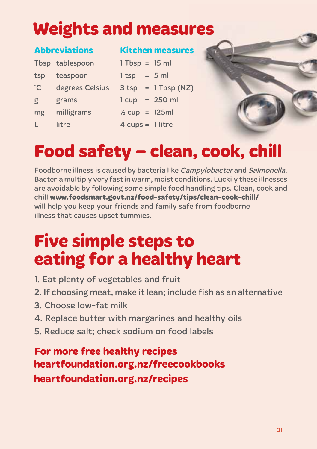### **Weights and measures**

#### **Abbreviations**

#### **Kitchen measures**

|              | Tbsp tablespoon | $1$ Tbsp = $15$ ml        |                       |
|--------------|-----------------|---------------------------|-----------------------|
| tsp          | teaspoon        | $l$ tsp = 5 ml            |                       |
| $^{\circ}$ C | degrees Celsius |                           | $3$ tsp = 1 Tbsp (NZ) |
| g            | grams           | $1 cup = 250 ml$          |                       |
| mg           | milligrams      | $\frac{1}{2}$ cup = 125ml |                       |
| L            | litre           | $4 cups = 1 litre$        |                       |

### **Food safety – clean, cook, chill**

Foodborne illness is caused by bacteria like Campylobacter and Salmonella. Bacteria multiply very fast in warm, moist conditions. Luckily these illnesses are avoidable by following some simple food handling tips. Clean, cook and chill **www.foodsmart.govt.nz/food-safety/tips/clean-cook-chill/** will help you keep your friends and family safe from foodborne illness that causes upset tummies.

### **Five simple steps to eating for a healthy heart**

- 1. Eat plenty of vegetables and fruit
- 2. If choosing meat, make it lean; include fish as an alternative
- 3. Choose low-fat milk
- 4. Replace butter with margarines and healthy oils
- 5. Reduce salt; check sodium on food labels

### **For more free healthy recipes heartfoundation.org.nz/freecookbooks heartfoundation.org.nz/recipes**